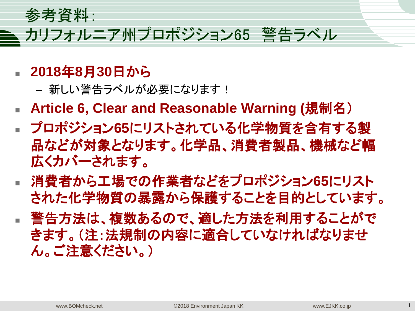参考資料:

# カリフォルニア州プロポジション65 警告ラベル

- **2018**年**8**月**30**日から
	- 新しい警告ラベルが必要になります!
- Article 6, Clear and Reasonable Warning (規制名)
- プロポジション**65**にリストされている化学物質を含有する製 品などが対象となります。化学品、消費者製品、機械など幅 広くカバーされます。
- 消費者から工場での作業者などをプロポジション**65**にリスト された化学物質の暴露から保護することを目的としています。
- 警告方法は、複数あるので、適した方法を利用することがで きます。(注:法規制の内容に適合していなければなりませ ん。ご注意ください。)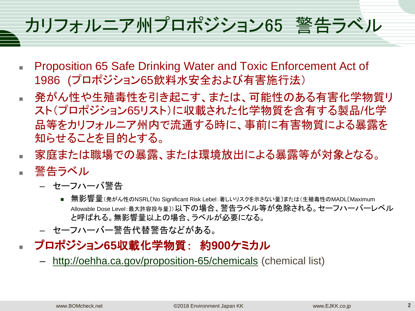# カリフォルニア州プロポジション65 警告ラベル

- Proposition 65 Safe Drinking Water and Toxic Enforcement Act of 1986 (プロポジション65飲料水安全および有害施行法)
- 発がん性や生殖毒性を引き起こす、または、可能性のある有害化学物質リ スト(プロポジション65リスト)に収載された化学物質を含有する製品/化学 品等をカリフォルニア州内で流通する時に、事前に有害物質による暴露を 知らせることを目的とする。
- 家庭または職場での暴露、または環境放出による暴露等が対象となる。 警告ラベル
	- セーフハーバ警告
		- 無影響量(発がん性のNSRL〔No Significant Risk Lebel:著しいリスクを示さない量〕または(生殖毒性のMADL〔Maximum Allowable Dose Level:最大許容投与量〕)以下の場合、警告ラベル等が免除される。セーフハーバーレベル と呼ばれる。無影響量以上の場合、ラベルが必要になる。
	- セーフハーバー警告代替警告などがある。
- プロポジション**65**収載化学物質: 約**900**ケミカル
	- <http://oehha.ca.gov/proposition-65/chemicals> (chemical list)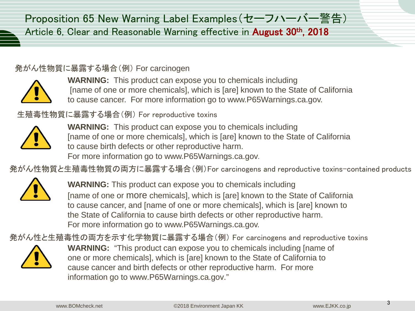Proposition 65 New Warning Label Examples(セーフハーバー警告) Article 6, Clear and Reasonable Warning effective in **August 30<sup>th</sup>, 2018** 

#### 発がん性物質に暴露する場合(例) For carcinogen



**WARNING:** This product can expose you to chemicals including [name of one or more chemicals], which is [are] known to the State of California to cause cancer. For more information go to www.P65Warnings.ca.gov.

生殖毒性物質に暴露する場合(例) For reproductive toxins



**WARNING:** This product can expose you to chemicals including [name of one or more chemicals], which is [are] known to the State of California to cause birth defects or other reproductive harm. For more information go to www.P65Warnings.ca.gov.

発がん性物質と生殖毒性物質の両方に暴露する場合(例)For carcinogens and reproductive toxins-contained products



**WARNING:** This product can expose you to chemicals including [name of one or more chemicals], which is [are] known to the State of California to cause cancer, and [name of one or more chemicals], which is [are] known to the State of California to cause birth defects or other reproductive harm. For more information go to www.P65Warnings.ca.gov.

発がん性と生殖毒性の両方を示す化学物質に暴露する場合(例) For carcinogens and reproductive toxins



**WARNING:** "This product can expose you to chemicals including [name of one or more chemicals], which is [are] known to the State of California to cause cancer and birth defects or other reproductive harm. For more information go to www.P65Warnings.ca.gov."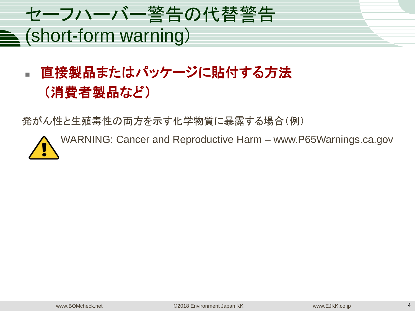

# 直接製品またはパッケージに貼付する方法 (消費者製品など)

発がん性と生殖毒性の両方を示す化学物質に暴露する場合(例)

WARNING: Cancer and Reproductive Harm – www.P65Warnings.ca.gov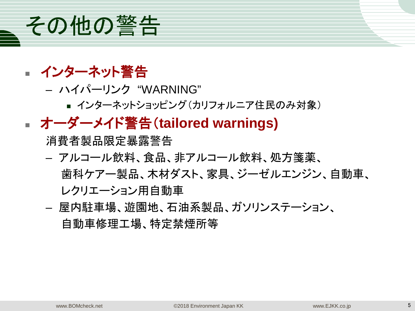

- インターネット警告
	- ハイパーリンク "WARNING"
		- インターネットショッピング(カリフォルニア住民のみ対象)

### オーダーメイド警告(**tailored warnings)**

消費者製品限定暴露警告

- アルコール飲料、食品、非アルコール飲料、処方箋薬、 歯科ケアー製品、木材ダスト、家具、ジーゼルエンジン、自動車、 レクリエーション用自動車
- 屋内駐車場、遊園地、石油系製品、ガソリンステーション、 自動車修理工場、特定禁煙所等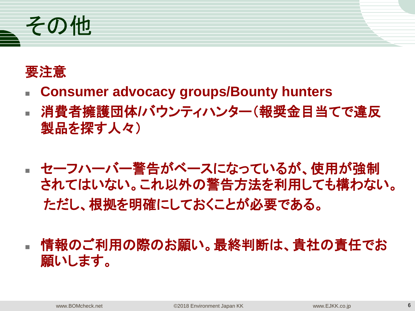

### 要注意

- **Consumer advocacy groups/Bounty hunters**
- 消費者擁護団体**/**バウンティハンター(報奨金目当てで違反 製品を探す人々)
- セーフハーバー警告がベースになっているが、使用が強制 されてはいない。これ以外の警告方法を利用しても構わない。 ただし、根拠を明確にしておくことが必要である。
- 情報のご利用の際のお願い。最終判断は、貴社の責任でお 願いします。